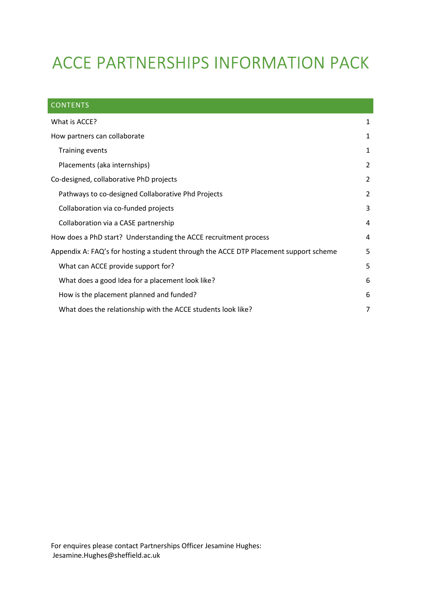# ACCE PARTNERSHIPS INFORMATION PACK

| <b>CONTENTS</b>                                                                       |                |
|---------------------------------------------------------------------------------------|----------------|
| What is ACCE?                                                                         | 1              |
| How partners can collaborate                                                          | 1              |
| <b>Training events</b>                                                                | 1              |
| Placements (aka internships)                                                          | 2              |
| Co-designed, collaborative PhD projects                                               | 2              |
| Pathways to co-designed Collaborative Phd Projects                                    | $\overline{2}$ |
| Collaboration via co-funded projects                                                  | 3              |
| Collaboration via a CASE partnership                                                  | 4              |
| How does a PhD start? Understanding the ACCE recruitment process                      | 4              |
| Appendix A: FAQ's for hosting a student through the ACCE DTP Placement support scheme | 5              |
| What can ACCE provide support for?                                                    | 5              |
| What does a good Idea for a placement look like?                                      | 6              |
| How is the placement planned and funded?                                              | 6              |
| What does the relationship with the ACCE students look like?                          | 7              |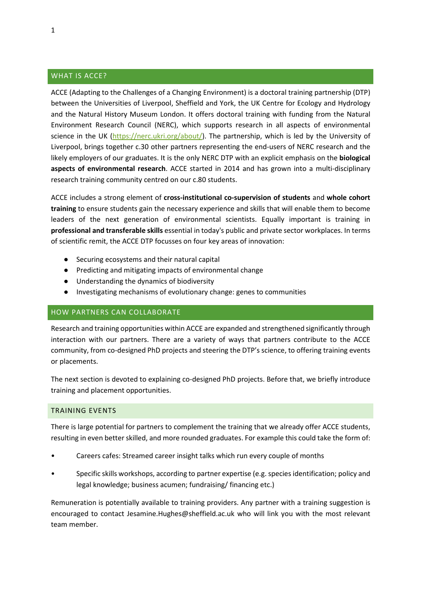## WHAT IS ACCE?

ACCE (Adapting to the Challenges of a Changing Environment) is a doctoral training partnership (DTP) between the Universities of Liverpool, Sheffield and York, the UK Centre for Ecology and Hydrology and the Natural History Museum London. It offers doctoral training with funding from the Natural Environment Research Council (NERC), which supports research in all aspects of environmental science in the UK (https://nerc.ukri.org/about/). The partnership, which is led by the University of Liverpool, brings together c.30 other partners representing the end-users of NERC research and the likely employers of our graduates. It is the only NERC DTP with an explicit emphasis on the **biological aspects of environmental research**. ACCE started in 2014 and has grown into a multi-disciplinary research training community centred on our c.80 students.

ACCE includes a strong element of **cross-institutional co-supervision of students** and **whole cohort training** to ensure students gain the necessary experience and skills that will enable them to become leaders of the next generation of environmental scientists. Equally important is training in **professional and transferable skills** essential in today's public and private sector workplaces. In terms of scientific remit, the ACCE DTP focusses on four key areas of innovation:

- Securing ecosystems and their natural capital
- Predicting and mitigating impacts of environmental change
- Understanding the dynamics of biodiversity
- Investigating mechanisms of evolutionary change: genes to communities

#### HOW PARTNERS CAN COLLABORATE

Research and training opportunities within ACCE are expanded and strengthened significantly through interaction with our partners. There are a variety of ways that partners contribute to the ACCE community, from co-designed PhD projects and steering the DTP's science, to offering training events or placements.

The next section is devoted to explaining co-designed PhD projects. Before that, we briefly introduce training and placement opportunities.

#### TRAINING EVENTS

There is large potential for partners to complement the training that we already offer ACCE students, resulting in even better skilled, and more rounded graduates. For example this could take the form of:

- Careers cafes: Streamed career insight talks which run every couple of months
- Specific skills workshops, according to partner expertise (e.g. species identification; policy and legal knowledge; business acumen; fundraising/ financing etc.)

Remuneration is potentially available to training providers. Any partner with a training suggestion is encouraged to contact Jesamine.Hughes@sheffield.ac.uk who will link you with the most relevant team member.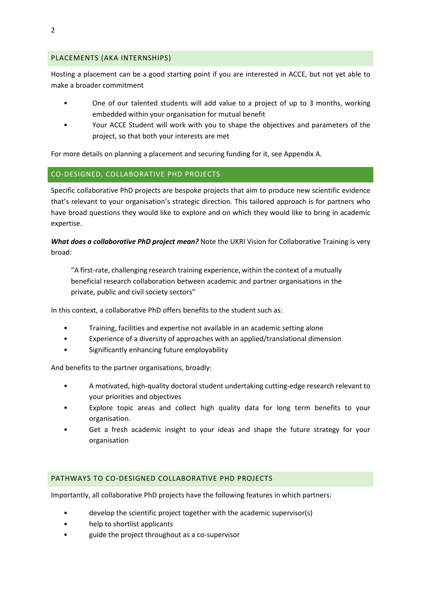# PLACEMENTS (AKA INTERNSHIPS)

Hosting a placement can be a good starting point if you are interested in ACCE, but not yet able to make a broader commitment

- One of our talented students will add value to a project of up to 3 months, working embedded within your organisation for mutual benefit
- Your ACCE Student will work with you to shape the objectives and parameters of the project, so that both your interests are met

For more details on planning a placement and securing funding for it, see Appendix A.

# CO-DESIGNED, COLLABORATIVE PHD PROJECTS

Specific collaborative PhD projects are bespoke projects that aim to produce new scientific evidence that's relevant to your organisation's strategic direction. This tailored approach is for partners who have broad questions they would like to explore and on which they would like to bring in academic expertise.

*What does a collaborative PhD project mean?* Note the UKRI Vision for Collaborative Training is very broad:

"A first-rate, challenging research training experience, within the context of a mutually beneficial research collaboration between academic and partner organisations in the private, public and civil society sectors"

In this context, a collaborative PhD offers benefits to the student such as:

- Training, facilities and expertise not available in an academic setting alone
- Experience of a diversity of approaches with an applied/translational dimension
- Significantly enhancing future employability

And benefits to the partner organisations, broadly:

- A motivated, high-quality doctoral student undertaking cutting-edge research relevant to your priorities and objectives
- Explore topic areas and collect high quality data for long term benefits to your organisation.
- Get a fresh academic insight to your ideas and shape the future strategy for your organisation

# PATHWAYS TO CO-DESIGNED COLLABORATIVE PHD PROJECTS

Importantly, all collaborative PhD projects have the following features in which partners:

- develop the scientific project together with the academic supervisor(s)
- help to shortlist applicants
- guide the project throughout as a co-supervisor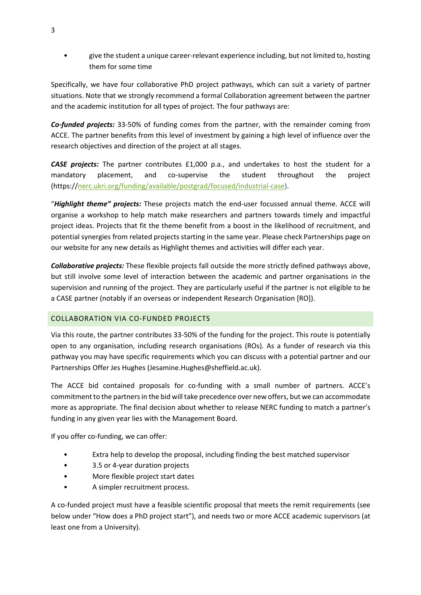• give the student a unique career-relevant experience including, but not limited to, hosting them for some time

Specifically, we have four collaborative PhD project pathways, which can suit a variety of partner situations. Note that we strongly recommend a formal Collaboration agreement between the partner and the academic institution for all types of project. The four pathways are:

*Co-funded projects:* 33-50% of funding comes from the partner, with the remainder coming from ACCE. The partner benefits from this level of investment by gaining a high level of influence over the research objectives and direction of the project at all stages.

*CASE projects:* The partner contributes £1,000 p.a., and undertakes to host the student for a mandatory placement, and co-supervise the student throughout the project (https://nerc.ukri.org/funding/available/postgrad/focused/industrial-case).

"*Highlight theme" projects:* These projects match the end-user focussed annual theme. ACCE will organise a workshop to help match make researchers and partners towards timely and impactful project ideas. Projects that fit the theme benefit from a boost in the likelihood of recruitment, and potential synergies from related projects starting in the same year. Please check Partnerships page on our website for any new details as Highlight themes and activities will differ each year.

*Collaborative projects:* These flexible projects fall outside the more strictly defined pathways above, but still involve some level of interaction between the academic and partner organisations in the supervision and running of the project. They are particularly useful if the partner is not eligible to be a CASE partner (notably if an overseas or independent Research Organisation [RO]).

# COLLABORATION VIA CO-FUNDED PROJECTS

Via this route, the partner contributes 33-50% of the funding for the project. This route is potentially open to any organisation, including research organisations (ROs). As a funder of research via this pathway you may have specific requirements which you can discuss with a potential partner and our Partnerships Offer Jes Hughes (Jesamine.Hughes@sheffield.ac.uk).

The ACCE bid contained proposals for co-funding with a small number of partners. ACCE's commitment to the partners in the bid will take precedence over new offers, but we can accommodate more as appropriate. The final decision about whether to release NERC funding to match a partner's funding in any given year lies with the Management Board.

If you offer co-funding, we can offer:

- Extra help to develop the proposal, including finding the best matched supervisor
- 3.5 or 4-year duration projects
- More flexible project start dates
- A simpler recruitment process.

A co-funded project must have a feasible scientific proposal that meets the remit requirements (see below under "How does a PhD project start"), and needs two or more ACCE academic supervisors (at least one from a University).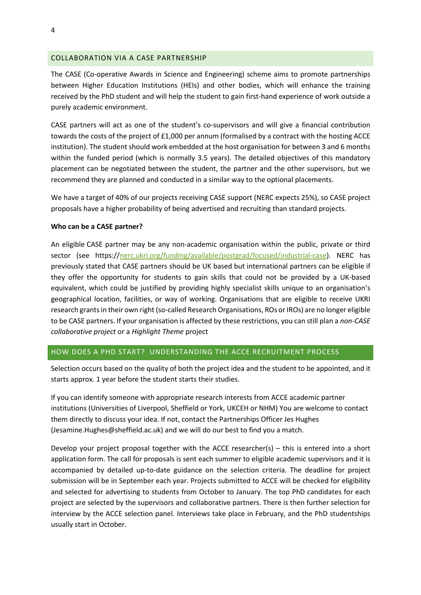#### COLLABORATION VIA A CASE PARTNERSHIP

The CASE (Co-operative Awards in Science and Engineering) scheme aims to promote partnerships between Higher Education Institutions (HEIs) and other bodies, which will enhance the training received by the PhD student and will help the student to gain first-hand experience of work outside a purely academic environment.

CASE partners will act as one of the student's co-supervisors and will give a financial contribution towards the costs of the project of £1,000 per annum (formalised by a contract with the hosting ACCE institution). The student should work embedded at the host organisation for between 3 and 6 months within the funded period (which is normally 3.5 years). The detailed objectives of this mandatory placement can be negotiated between the student, the partner and the other supervisors, but we recommend they are planned and conducted in a similar way to the optional placements.

We have a target of 40% of our projects receiving CASE support (NERC expects 25%), so CASE project proposals have a higher probability of being advertised and recruiting than standard projects.

#### **Who can be a CASE partner?**

An eligible CASE partner may be any non-academic organisation within the public, private or third sector (see https://nerc.ukri.org/funding/available/postgrad/focused/industrial-case). NERC has previously stated that CASE partners should be UK based but international partners can be eligible if they offer the opportunity for students to gain skills that could not be provided by a UK-based equivalent, which could be justified by providing highly specialist skills unique to an organisation's geographical location, facilities, or way of working. Organisations that are eligible to receive UKRI research grants in their own right (so-called Research Organisations, ROs or IROs) are no longer eligible to be CASE partners. If your organisation is affected by these restrictions, you can still plan a *non-CASE collaborative project* or a *Highlight Theme* project

### HOW DOES A PHD START? UNDERSTANDING THE ACCE RECRUITMENT PROCESS

Selection occurs based on the quality of both the project idea and the student to be appointed, and it starts approx. 1 year before the student starts their studies.

If you can identify someone with appropriate research interests from ACCE academic partner institutions (Universities of Liverpool, Sheffield or York, UKCEH or NHM) You are welcome to contact them directly to discuss your idea. If not, contact the Partnerships Officer Jes Hughes (Jesamine.Hughes@sheffield.ac.uk) and we will do our best to find you a match.

Develop your project proposal together with the ACCE researcher(s) – this is entered into a short application form. The call for proposals is sent each summer to eligible academic supervisors and it is accompanied by detailed up-to-date guidance on the selection criteria. The deadline for project submission will be in September each year. Projects submitted to ACCE will be checked for eligibility and selected for advertising to students from October to January. The top PhD candidates for each project are selected by the supervisors and collaborative partners. There is then further selection for interview by the ACCE selection panel. Interviews take place in February, and the PhD studentships usually start in October.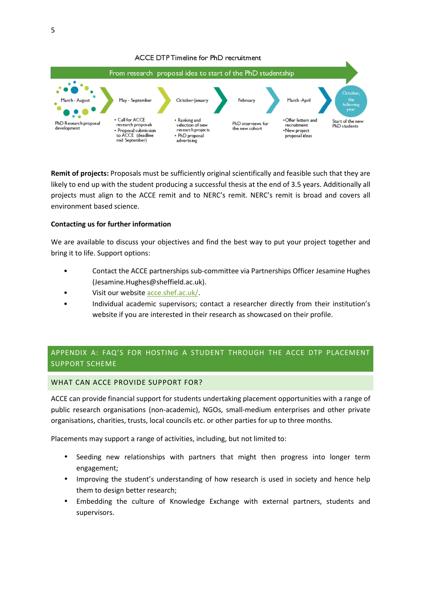

**Remit of projects:** Proposals must be sufficiently original scientifically and feasible such that they are likely to end up with the student producing a successful thesis at the end of 3.5 years. Additionally all projects must align to the ACCE remit and to NERC's remit. NERC's remit is broad and covers all environment based science.

## **Contacting us for further information**

We are available to discuss your objectives and find the best way to put your project together and bring it to life. Support options:

- Contact the ACCE partnerships sub-committee via Partnerships Officer Jesamine Hughes (Jesamine.Hughes@sheffield.ac.uk).
- Visit our website acce.shef.ac.uk/.
- Individual academic supervisors; contact a researcher directly from their institution's website if you are interested in their research as showcased on their profile.

# APPENDIX A: FAQ'S FOR HOSTING A STUDENT THROUGH THE ACCE DTP PLACEMENT SUPPORT SCHEME

#### WHAT CAN ACCE PROVIDE SUPPORT FOR?

ACCE can provide financial support for students undertaking placement opportunities with a range of public research organisations (non-academic), NGOs, small-medium enterprises and other private organisations, charities, trusts, local councils etc. or other parties for up to three months.

Placements may support a range of activities, including, but not limited to:

- Seeding new relationships with partners that might then progress into longer term engagement;
- Improving the student's understanding of how research is used in society and hence help them to design better research;
- Embedding the culture of Knowledge Exchange with external partners, students and supervisors.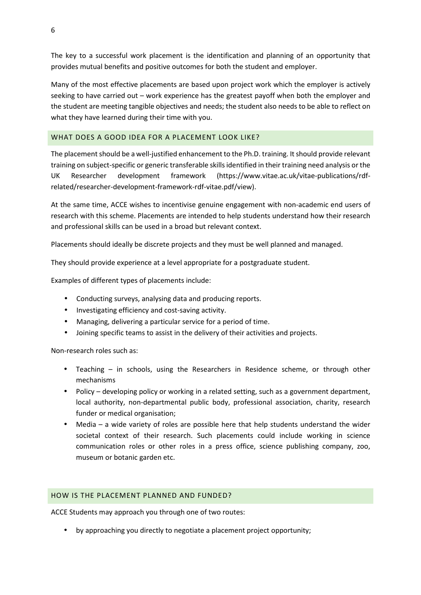The key to a successful work placement is the identification and planning of an opportunity that provides mutual benefits and positive outcomes for both the student and employer.

Many of the most effective placements are based upon project work which the employer is actively seeking to have carried out – work experience has the greatest payoff when both the employer and the student are meeting tangible objectives and needs; the student also needs to be able to reflect on what they have learned during their time with you.

# WHAT DOES A GOOD IDEA FOR A PLACEMENT LOOK LIKE?

The placement should be a well-justified enhancement to the Ph.D. training. It should provide relevant training on subject-specific or generic transferable skills identified in their training need analysis or the UK Researcher development framework (https://www.vitae.ac.uk/vitae-publications/rdfrelated/researcher-development-framework-rdf-vitae.pdf/view).

At the same time, ACCE wishes to incentivise genuine engagement with non-academic end users of research with this scheme. Placements are intended to help students understand how their research and professional skills can be used in a broad but relevant context.

Placements should ideally be discrete projects and they must be well planned and managed.

They should provide experience at a level appropriate for a postgraduate student.

Examples of different types of placements include:

- Conducting surveys, analysing data and producing reports.
- Investigating efficiency and cost-saving activity.
- Managing, delivering a particular service for a period of time.
- Joining specific teams to assist in the delivery of their activities and projects.

Non-research roles such as:

- Teaching in schools, using the Researchers in Residence scheme, or through other mechanisms
- Policy developing policy or working in a related setting, such as a government department, local authority, non-departmental public body, professional association, charity, research funder or medical organisation;
- Media a wide variety of roles are possible here that help students understand the wider societal context of their research. Such placements could include working in science communication roles or other roles in a press office, science publishing company, zoo, museum or botanic garden etc.

# HOW IS THE PLACEMENT PLANNED AND FUNDED?

ACCE Students may approach you through one of two routes:

• by approaching you directly to negotiate a placement project opportunity;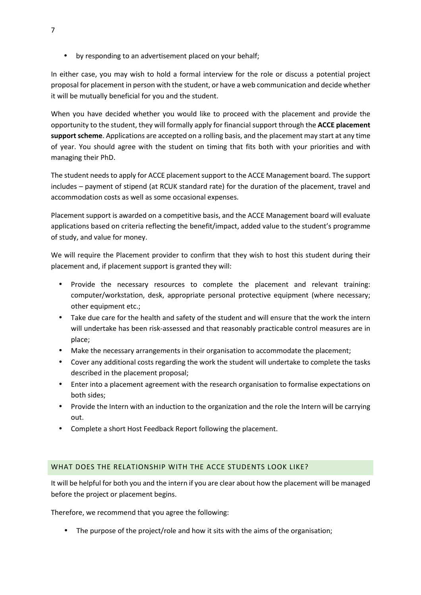• by responding to an advertisement placed on your behalf;

In either case, you may wish to hold a formal interview for the role or discuss a potential project proposal for placement in person with the student, or have a web communication and decide whether it will be mutually beneficial for you and the student.

When you have decided whether you would like to proceed with the placement and provide the opportunity to the student, they will formally apply for financial support through the **ACCE placement support scheme**. Applications are accepted on a rolling basis, and the placement may start at any time of year. You should agree with the student on timing that fits both with your priorities and with managing their PhD.

The student needs to apply for ACCE placement support to the ACCE Management board. The support includes – payment of stipend (at RCUK standard rate) for the duration of the placement, travel and accommodation costs as well as some occasional expenses.

Placement support is awarded on a competitive basis, and the ACCE Management board will evaluate applications based on criteria reflecting the benefit/impact, added value to the student's programme of study, and value for money.

We will require the Placement provider to confirm that they wish to host this student during their placement and, if placement support is granted they will:

- Provide the necessary resources to complete the placement and relevant training: computer/workstation, desk, appropriate personal protective equipment (where necessary; other equipment etc.;
- Take due care for the health and safety of the student and will ensure that the work the intern will undertake has been risk-assessed and that reasonably practicable control measures are in place;
- Make the necessary arrangements in their organisation to accommodate the placement;
- Cover any additional costs regarding the work the student will undertake to complete the tasks described in the placement proposal;
- Enter into a placement agreement with the research organisation to formalise expectations on both sides;
- Provide the Intern with an induction to the organization and the role the Intern will be carrying out.
- Complete a short Host Feedback Report following the placement.

# WHAT DOES THE RELATIONSHIP WITH THE ACCE STUDENTS LOOK LIKE?

It will be helpful for both you and the intern if you are clear about how the placement will be managed before the project or placement begins.

Therefore, we recommend that you agree the following:

• The purpose of the project/role and how it sits with the aims of the organisation;